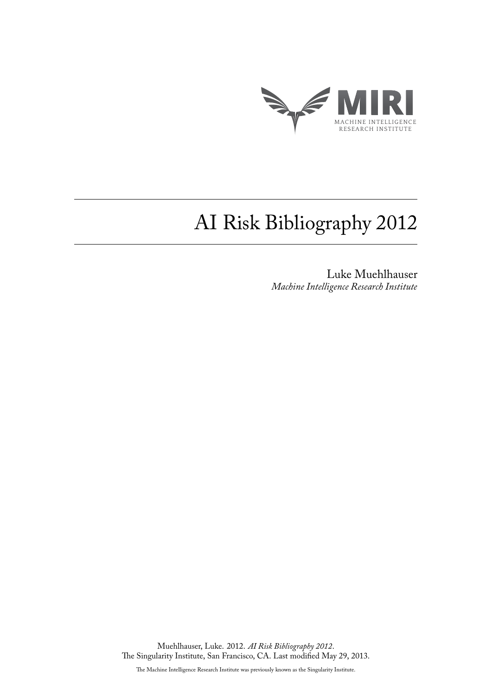

## AI Risk Bibliography 2012

Luke Muehlhauser *Machine Intelligence Research Institute*

Muehlhauser, Luke. 2012. *AI Risk Bibliography 2012*. The Singularity Institute, San Francisco, CA. Last modified May 29, 2013.

The Machine Intelligence Research Institute was previously known as the Singularity Institute.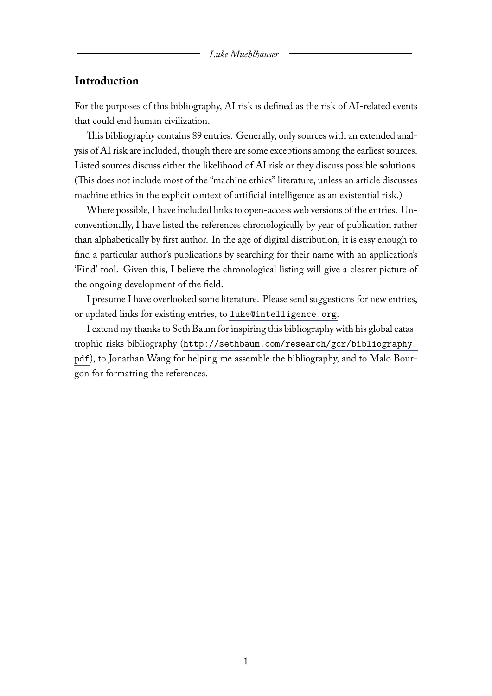## **Introduction**

For the purposes of this bibliography, AI risk is defined as the risk of AI-related events that could end human civilization.

This bibliography contains 89 entries. Generally, only sources with an extended analysis of AI risk are included, though there are some exceptions among the earliest sources. Listed sources discuss either the likelihood of AI risk or they discuss possible solutions. (This does not include most of the "machine ethics" literature, unless an article discusses machine ethics in the explicit context of artificial intelligence as an existential risk.)

Where possible, I have included links to open-access web versions of the entries. Unconventionally, I have listed the references chronologically by year of publication rather than alphabetically by first author. In the age of digital distribution, it is easy enough to find a particular author's publications by searching for their name with an application's 'Find' tool. Given this, I believe the chronological listing will give a clearer picture of the ongoing development of the field.

I presume I have overlooked some literature. Please send suggestions for new entries, or updated links for existing entries, to [luke@intelligence.org](mailto:luke@intelligence.org).

I extend my thanks to Seth Baum for inspiring this bibliography with his global catastrophic risks bibliography ([http://sethbaum.com/research/gcr/bibliography.](http://sethbaum.com/research/gcr/bibliography.pdf) [pdf](http://sethbaum.com/research/gcr/bibliography.pdf)), to Jonathan Wang for helping me assemble the bibliography, and to Malo Bourgon for formatting the references.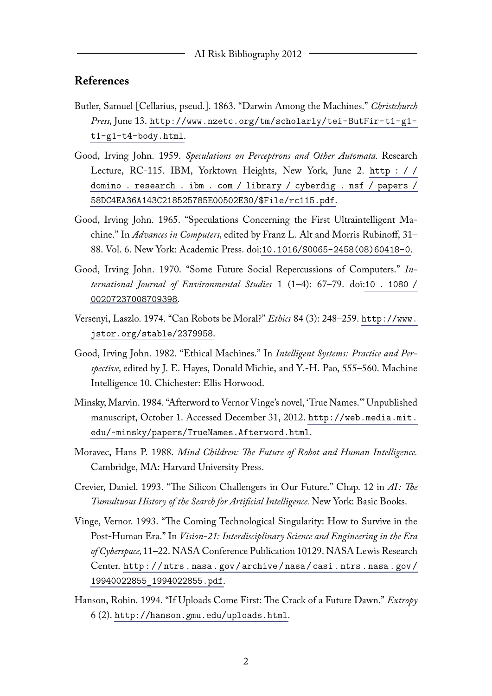## **References**

- Butler, Samuel [Cellarius, pseud.]. 1863. "Darwin Among the Machines." *Christchurch Press,* June 13. [http://www.nzetc.org/tm/scholarly/tei-ButFir-t1-g1](http://www.nzetc.org/tm/scholarly/tei-ButFir-t1-g1-t1-g1-t4-body.html) [t1-g1-t4-body.html](http://www.nzetc.org/tm/scholarly/tei-ButFir-t1-g1-t1-g1-t4-body.html).
- Good, Irving John. 1959. *Speculations on Perceptrons and Other Automata.* Research Lecture, RC-115. IBM, Yorktown Heights, New York, June 2. [http : / /](http://domino.research.ibm.com/library/cyberdig.nsf/papers/58DC4EA36A143C218525785E00502E30/$File/rc115.pdf) [domino . research . ibm . com / library / cyberdig . nsf / papers /](http://domino.research.ibm.com/library/cyberdig.nsf/papers/58DC4EA36A143C218525785E00502E30/$File/rc115.pdf) [58DC4EA36A143C218525785E00502E30/\\$File/rc115.pdf](http://domino.research.ibm.com/library/cyberdig.nsf/papers/58DC4EA36A143C218525785E00502E30/$File/rc115.pdf).
- Good, Irving John. 1965. "Speculations Concerning the First Ultraintelligent Machine." In *Advances in Computers,* edited by Franz L. Alt and Morris Rubinoff, 31– 88. Vol. 6. New York: Academic Press. doi:[10.1016/S0065-2458\(08\)60418-0](http://dx.doi.org/10.1016/S0065-2458(08)60418-0).
- Good, Irving John. 1970. "Some Future Social Repercussions of Computers." *International Journal of Environmental Studies* 1 (1–4): 67–79. doi:[10 . 1080 /](http://dx.doi.org/10.1080/00207237008709398) [00207237008709398](http://dx.doi.org/10.1080/00207237008709398).
- Versenyi, Laszlo. 1974. "Can Robots be Moral?" *Ethics* 84 (3): 248–259. [http://www.](http://www.jstor.org/stable/2379958) [jstor.org/stable/2379958](http://www.jstor.org/stable/2379958).
- Good, Irving John. 1982. "Ethical Machines." In *Intelligent Systems: Practice and Perspective,* edited by J. E. Hayes, Donald Michie, and Y.-H. Pao, 555–560. Machine Intelligence 10. Chichester: Ellis Horwood.
- Minsky, Marvin. 1984. "Afterword to Vernor Vinge's novel, 'True Names."' Unpublished manuscript, October 1. Accessed December 31, 2012. [http://web.media.mit.](http://web.media.mit.edu/~minsky/papers/TrueNames.Afterword.html) [edu/~minsky/papers/TrueNames.Afterword.html](http://web.media.mit.edu/~minsky/papers/TrueNames.Afterword.html).
- Moravec, Hans P. 1988. *Mind Children: The Future of Robot and Human Intelligence.* Cambridge, MA: Harvard University Press.
- Crevier, Daniel. 1993. "The Silicon Challengers in Our Future." Chap. 12 in *AI : The Tumultuous History of the Search for Artificial Intelligence.* New York: Basic Books.
- Vinge, Vernor. 1993. "The Coming Technological Singularity: How to Survive in the Post-Human Era." In *Vision-21: Interdisciplinary Science and Engineering in the Era of Cyberspace,*11–22. NASA Conference Publication 10129. NASA Lewis Research Center. [http : / / ntrs . nasa . gov / archive / nasa / casi . ntrs . nasa . gov /](http://ntrs.nasa.gov/archive/nasa/casi.ntrs.nasa.gov/19940022855_1994022855.pdf) [19940022855\\_1994022855.pdf](http://ntrs.nasa.gov/archive/nasa/casi.ntrs.nasa.gov/19940022855_1994022855.pdf).
- Hanson, Robin. 1994. "If Uploads Come First: The Crack of a Future Dawn." *Extropy* 6 (2). <http://hanson.gmu.edu/uploads.html>.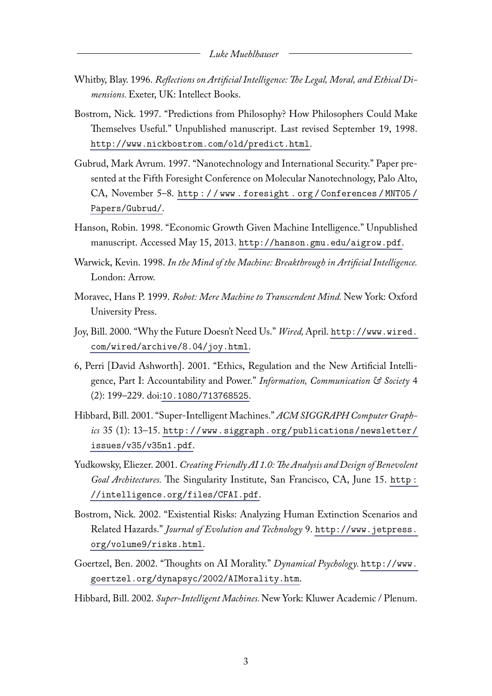- Whitby, Blay. 1996. *Reflections on Artificial Intelligence: The Legal, Moral, and Ethical Dimensions.* Exeter, UK: Intellect Books.
- Bostrom, Nick. 1997. "Predictions from Philosophy? How Philosophers Could Make Themselves Useful." Unpublished manuscript. Last revised September 19, 1998. <http://www.nickbostrom.com/old/predict.html>.
- Gubrud, Mark Avrum. 1997. "Nanotechnology and International Security." Paper presented at the Fifth Foresight Conference on Molecular Nanotechnology, Palo Alto, CA, November 5–8. [http : / / www . foresight . org / Conferences / MNT05 /](http://www.foresight.org/Conferences/MNT05/Papers/Gubrud/) [Papers/Gubrud/](http://www.foresight.org/Conferences/MNT05/Papers/Gubrud/).
- Hanson, Robin. 1998. "Economic Growth Given Machine Intelligence." Unpublished manuscript. Accessed May 15, 2013. <http://hanson.gmu.edu/aigrow.pdf>.
- Warwick, Kevin. 1998. *In the Mind of the Machine: Breakthrough in Artificial Intelligence.* London: Arrow.
- Moravec, Hans P. 1999. *Robot: Mere Machine to Transcendent Mind.* New York: Oxford University Press.
- Joy, Bill. 2000. "Why the Future Doesn't Need Us." *Wired,*April. [http://www.wired.](http://www.wired.com/wired/archive/8.04/joy.html) [com/wired/archive/8.04/joy.html](http://www.wired.com/wired/archive/8.04/joy.html).
- 6, Perri [David Ashworth]. 2001. "Ethics, Regulation and the New Artificial Intelligence, Part I: Accountability and Power." *Information, Communication & Society* 4 (2): 199–229. doi:[10.1080/713768525](http://dx.doi.org/10.1080/713768525).
- Hibbard, Bill. 2001. "Super-Intelligent Machines." *ACM SIGGRAPH Computer Graphics* 35 (1): 13–15. [http://www.siggraph.org/publications/newsletter/](http://www.siggraph.org/publications/newsletter/issues/v35/v35n1.pdf) [issues/v35/v35n1.pdf](http://www.siggraph.org/publications/newsletter/issues/v35/v35n1.pdf).
- Yudkowsky, Eliezer. 2001. *Creating Friendly AI 1.0: The Analysis and Design of Benevolent Goal Architectures.* The Singularity Institute, San Francisco, CA, June 15. [http :](http://intelligence.org/files/CFAI.pdf) [//intelligence.org/files/CFAI.pdf](http://intelligence.org/files/CFAI.pdf).
- Bostrom, Nick. 2002. "Existential Risks: Analyzing Human Extinction Scenarios and Related Hazards." *Journal of Evolution and Technology* 9. [http://www.jetpress.](http://www.jetpress.org/volume9/risks.html) [org/volume9/risks.html](http://www.jetpress.org/volume9/risks.html).
- Goertzel, Ben. 2002. "Thoughts on AI Morality." *Dynamical Psychology.* [http://www.](http://www.goertzel.org/dynapsyc/2002/AIMorality.htm) [goertzel.org/dynapsyc/2002/AIMorality.htm](http://www.goertzel.org/dynapsyc/2002/AIMorality.htm).
- Hibbard, Bill. 2002. *Super-Intelligent Machines.*New York: Kluwer Academic / Plenum.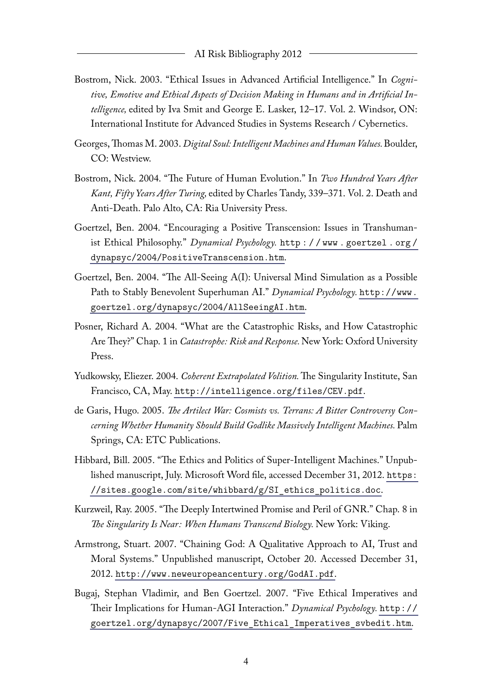- Bostrom, Nick. 2003. "Ethical Issues in Advanced Artificial Intelligence." In *Cognitive, Emotive and Ethical Aspects of Decision Making in Humans and in Artificial Intelligence,* edited by Iva Smit and George E. Lasker, 12–17. Vol. 2. Windsor, ON: International Institute for Advanced Studies in Systems Research / Cybernetics.
- Georges, Thomas M. 2003. *Digital Soul: Intelligent Machines and Human Values.*Boulder, CO: Westview.
- Bostrom, Nick. 2004. "The Future of Human Evolution." In *Two Hundred Years After Kant, Fifty Years After Turing,* edited by Charles Tandy, 339–371. Vol. 2. Death and Anti-Death. Palo Alto, CA: Ria University Press.
- Goertzel, Ben. 2004. "Encouraging a Positive Transcension: Issues in Transhumanist Ethical Philosophy." *Dynamical Psychology.* [http : / / www . goertzel . org /](http://www.goertzel.org/dynapsyc/2004/PositiveTranscension.htm) [dynapsyc/2004/PositiveTranscension.htm](http://www.goertzel.org/dynapsyc/2004/PositiveTranscension.htm).
- Goertzel, Ben. 2004. "The All-Seeing A(I): Universal Mind Simulation as a Possible Path to Stably Benevolent Superhuman AI." *Dynamical Psychology.* [http://www.](http://www.goertzel.org/dynapsyc/2004/AllSeeingAI.htm) [goertzel.org/dynapsyc/2004/AllSeeingAI.htm](http://www.goertzel.org/dynapsyc/2004/AllSeeingAI.htm).
- Posner, Richard A. 2004. "What are the Catastrophic Risks, and How Catastrophic Are They?" Chap. 1 in *Catastrophe: Risk and Response.*New York: Oxford University Press.
- Yudkowsky, Eliezer. 2004. *Coherent Extrapolated Volition.*The Singularity Institute, San Francisco, CA, May. <http://intelligence.org/files/CEV.pdf>.
- de Garis, Hugo. 2005. *The Artilect War: Cosmists vs. Terrans: A Bitter Controversy Concerning Whether Humanity Should Build Godlike Massively Intelligent Machines.* Palm Springs, CA: ETC Publications.
- Hibbard, Bill. 2005. "The Ethics and Politics of Super-Intelligent Machines." Unpublished manuscript, July. Microsoft Word file, accessed December 31, 2012. [https:](https://sites.google.com/site/whibbard/g/SI_ethics_politics.doc) [//sites.google.com/site/whibbard/g/SI\\_ethics\\_politics.doc](https://sites.google.com/site/whibbard/g/SI_ethics_politics.doc).
- Kurzweil, Ray. 2005. "The Deeply Intertwined Promise and Peril of GNR." Chap. 8 in *The Singularity Is Near: When Humans Transcend Biology.* New York: Viking.
- Armstrong, Stuart. 2007. "Chaining God: A Qualitative Approach to AI, Trust and Moral Systems." Unpublished manuscript, October 20. Accessed December 31, 2012. <http://www.neweuropeancentury.org/GodAI.pdf>.
- Bugaj, Stephan Vladimir, and Ben Goertzel. 2007. "Five Ethical Imperatives and Their Implications for Human-AGI Interaction." *Dynamical Psychology.* [http://](http://goertzel.org/dynapsyc/2007/Five_Ethical_Imperatives_svbedit.htm) [goertzel.org/dynapsyc/2007/Five\\_Ethical\\_Imperatives\\_svbedit.htm](http://goertzel.org/dynapsyc/2007/Five_Ethical_Imperatives_svbedit.htm).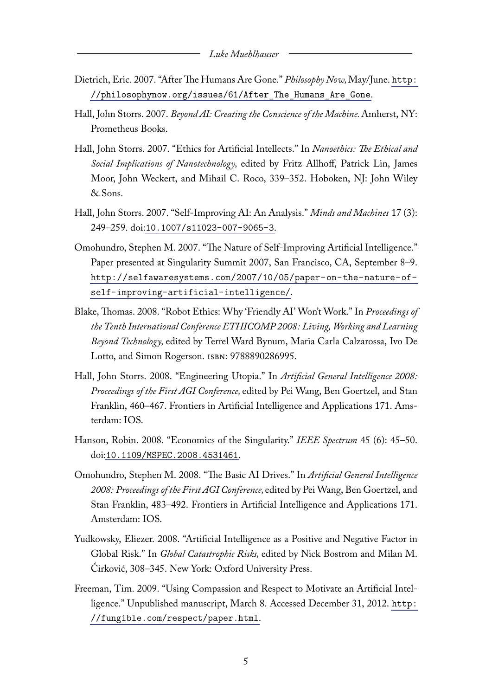- Dietrich, Eric. 2007. "After The Humans Are Gone." *Philosophy Now,*May/June. [http:](http://philosophynow.org/issues/61/After_The_Humans_Are_Gone) [//philosophynow.org/issues/61/After\\_The\\_Humans\\_Are\\_Gone](http://philosophynow.org/issues/61/After_The_Humans_Are_Gone).
- Hall, John Storrs. 2007. *Beyond AI: Creating the Conscience of the Machine.*Amherst, NY: Prometheus Books.
- Hall, John Storrs. 2007. "Ethics for Artificial Intellects." In *Nanoethics: The Ethical and Social Implications of Nanotechnology,* edited by Fritz Allhoff, Patrick Lin, James Moor, John Weckert, and Mihail C. Roco, 339–352. Hoboken, NJ: John Wiley & Sons.
- Hall, John Storrs. 2007. "Self-Improving AI: An Analysis." *Minds and Machines* 17 (3): 249–259. doi:[10.1007/s11023-007-9065-3](http://dx.doi.org/10.1007/s11023-007-9065-3).
- Omohundro, Stephen M. 2007. "The Nature of Self-Improving Artificial Intelligence." Paper presented at Singularity Summit 2007, San Francisco, CA, September 8–9. [http://selfawaresystems.com/2007/10/05/paper-on-the-nature-of](http://selfawaresystems.com/2007/10/05/paper-on-the-nature-of-self-improving-artificial-intelligence/)[self-improving-artificial-intelligence/](http://selfawaresystems.com/2007/10/05/paper-on-the-nature-of-self-improving-artificial-intelligence/).
- Blake, Thomas. 2008. "Robot Ethics: Why 'Friendly AI' Won't Work." In *Proceedings of the Tenth International Conference ETHICOMP 2008: Living, Working and Learning Beyond Technology,* edited by Terrel Ward Bynum, Maria Carla Calzarossa, Ivo De Lotto, and Simon Rogerson. ISBN: 9788890286995.
- Hall, John Storrs. 2008. "Engineering Utopia." In *Artificial General Intelligence 2008: Proceedings of the First AGI Conference,* edited by Pei Wang, Ben Goertzel, and Stan Franklin, 460–467. Frontiers in Artificial Intelligence and Applications 171. Amsterdam: IOS.
- Hanson, Robin. 2008. "Economics of the Singularity." *IEEE Spectrum* 45 (6): 45–50. doi:[10.1109/MSPEC.2008.4531461](http://dx.doi.org/10.1109/MSPEC.2008.4531461).
- Omohundro, Stephen M. 2008. "The Basic AI Drives." In *Artificial General Intelligence 2008: Proceedings of the First AGI Conference,* edited by Pei Wang, Ben Goertzel, and Stan Franklin, 483–492. Frontiers in Artificial Intelligence and Applications 171. Amsterdam: IOS.
- Yudkowsky, Eliezer. 2008. "Artificial Intelligence as a Positive and Negative Factor in Global Risk." In *Global Catastrophic Risks,* edited by Nick Bostrom and Milan M. Ćirković, 308–345. New York: Oxford University Press.
- Freeman, Tim. 2009. "Using Compassion and Respect to Motivate an Artificial Intelligence." Unpublished manuscript, March 8. Accessed December 31, 2012. [http:](http://fungible.com/respect/paper.html) [//fungible.com/respect/paper.html](http://fungible.com/respect/paper.html).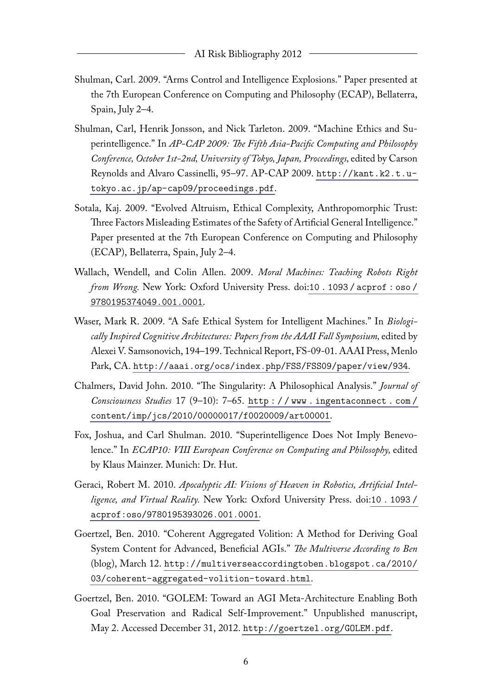- Shulman, Carl. 2009. "Arms Control and Intelligence Explosions." Paper presented at the 7th European Conference on Computing and Philosophy (ECAP), Bellaterra, Spain, July 2–4.
- Shulman, Carl, Henrik Jonsson, and Nick Tarleton. 2009. "Machine Ethics and Superintelligence." In *AP-CAP 2009: The Fifth Asia-Pacific Computing and Philosophy Conference, October 1st-2nd, University of Tokyo, Japan, Proceedings,* edited by Carson Reynolds and Alvaro Cassinelli, 95–97. AP-CAP 2009. [http://kant.k2.t.u](http://kant.k2.t.u-tokyo.ac.jp/ap-cap09/proceedings.pdf)[tokyo.ac.jp/ap-cap09/proceedings.pdf](http://kant.k2.t.u-tokyo.ac.jp/ap-cap09/proceedings.pdf).
- Sotala, Kaj. 2009. "Evolved Altruism, Ethical Complexity, Anthropomorphic Trust: Three Factors Misleading Estimates of the Safety of Artificial General Intelligence." Paper presented at the 7th European Conference on Computing and Philosophy (ECAP), Bellaterra, Spain, July 2–4.
- Wallach, Wendell, and Colin Allen. 2009. *Moral Machines: Teaching Robots Right from Wrong.* New York: Oxford University Press. doi:[10 . 1093 / acprof : oso /](http://dx.doi.org/10.1093/acprof:oso/9780195374049.001.0001) [9780195374049.001.0001](http://dx.doi.org/10.1093/acprof:oso/9780195374049.001.0001).
- Waser, Mark R. 2009. "A Safe Ethical System for Intelligent Machines." In *Biologically Inspired Cognitive Architectures: Papers from the AAAI Fall Symposium,* edited by Alexei V. Samsonovich, 194–199. Technical Report, FS-09-01. AAAI Press, Menlo Park, CA. <http://aaai.org/ocs/index.php/FSS/FSS09/paper/view/934>.
- Chalmers, David John. 2010. "The Singularity: A Philosophical Analysis." *Journal of Consciousness Studies* 17 (9–10): 7–65. [http : / / www . ingentaconnect . com /](http://www.ingentaconnect.com/content/imp/jcs/2010/00000017/f0020009/art00001) [content/imp/jcs/2010/00000017/f0020009/art00001](http://www.ingentaconnect.com/content/imp/jcs/2010/00000017/f0020009/art00001).
- Fox, Joshua, and Carl Shulman. 2010. "Superintelligence Does Not Imply Benevolence." In *ECAP10: VIII European Conference on Computing and Philosophy,* edited by Klaus Mainzer. Munich: Dr. Hut.
- Geraci, Robert M. 2010. *Apocalyptic AI: Visions of Heaven in Robotics, Artificial Intelligence, and Virtual Reality.* New York: Oxford University Press. doi:[10 . 1093 /](http://dx.doi.org/10.1093/acprof:oso/9780195393026.001.0001) [acprof:oso/9780195393026.001.0001](http://dx.doi.org/10.1093/acprof:oso/9780195393026.001.0001).
- Goertzel, Ben. 2010. "Coherent Aggregated Volition: A Method for Deriving Goal System Content for Advanced, Beneficial AGIs." *The Multiverse According to Ben* (blog), March 12. [http://multiverseaccordingtoben.blogspot.ca/2010/](http://multiverseaccordingtoben.blogspot.ca/2010/03/coherent-aggregated-volition-toward.html) [03/coherent-aggregated-volition-toward.html](http://multiverseaccordingtoben.blogspot.ca/2010/03/coherent-aggregated-volition-toward.html).
- Goertzel, Ben. 2010. "GOLEM: Toward an AGI Meta-Architecture Enabling Both Goal Preservation and Radical Self-Improvement." Unpublished manuscript, May 2. Accessed December 31, 2012. <http://goertzel.org/GOLEM.pdf>.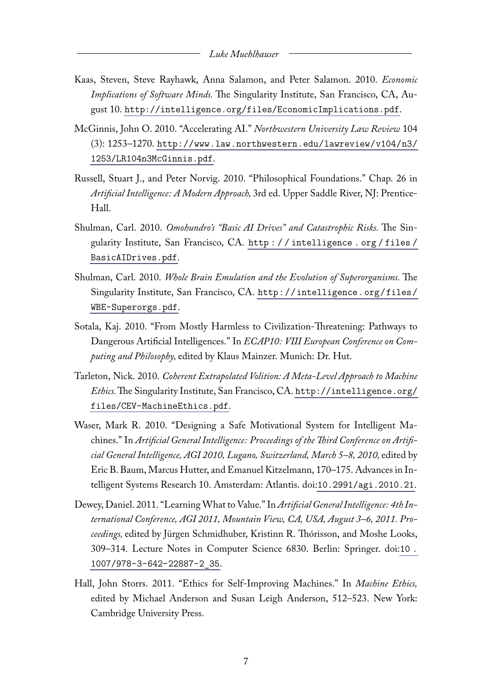- Kaas, Steven, Steve Rayhawk, Anna Salamon, and Peter Salamon. 2010. *Economic Implications of Software Minds.* The Singularity Institute, San Francisco, CA, August 10. <http://intelligence.org/files/EconomicImplications.pdf>.
- McGinnis, John O. 2010. "Accelerating AI." *Northwestern University Law Review* 104 (3): 1253–1270. [http://www.law.northwestern.edu/lawreview/v104/n3/](http://www.law.northwestern.edu/lawreview/v104/n3/1253/LR104n3McGinnis.pdf) [1253/LR104n3McGinnis.pdf](http://www.law.northwestern.edu/lawreview/v104/n3/1253/LR104n3McGinnis.pdf).
- Russell, Stuart J., and Peter Norvig. 2010. "Philosophical Foundations." Chap. 26 in *Artificial Intelligence: A Modern Approach,* 3rd ed. Upper Saddle River, NJ: Prentice-Hall.
- Shulman, Carl. 2010. *Omohundro's "Basic AI Drives" and Catastrophic Risks.* The Singularity Institute, San Francisco, CA. [http : / / intelligence . org / files /](http://intelligence.org/files/BasicAIDrives.pdf) [BasicAIDrives.pdf](http://intelligence.org/files/BasicAIDrives.pdf).
- Shulman, Carl. 2010. *Whole Brain Emulation and the Evolution of Superorganisms.* The Singularity Institute, San Francisco, CA. [http://intelligence.org/files/](http://intelligence.org/files/WBE-Superorgs.pdf) [WBE-Superorgs.pdf](http://intelligence.org/files/WBE-Superorgs.pdf).
- Sotala, Kaj. 2010. "From Mostly Harmless to Civilization-Threatening: Pathways to Dangerous Artificial Intelligences." In *ECAP10: VIII European Conference on Computing and Philosophy,* edited by Klaus Mainzer. Munich: Dr. Hut.
- Tarleton, Nick. 2010. *Coherent Extrapolated Volition: A Meta-Level Approach to Machine Ethics.*The Singularity Institute, San Francisco, CA. [http://intelligence.org/](http://intelligence.org/files/CEV-MachineEthics.pdf) [files/CEV-MachineEthics.pdf](http://intelligence.org/files/CEV-MachineEthics.pdf).
- Waser, Mark R. 2010. "Designing a Safe Motivational System for Intelligent Machines." In *Artificial General Intelligence: Proceedings of the Third Conference on Artificial General Intelligence, AGI 2010, Lugano, Switzerland, March 5–8, 2010,* edited by Eric B. Baum, Marcus Hutter, and Emanuel Kitzelmann, 170–175. Advances in Intelligent Systems Research 10. Amsterdam: Atlantis. doi:[10.2991/agi.2010.21](http://dx.doi.org/10.2991/agi.2010.21).
- Dewey, Daniel. 2011. "LearningWhat to Value." In *Artificial General Intelligence: 4th International Conference, AGI 2011, Mountain View, CA, USA, August 3–6, 2011. Proceedings,* edited by Jürgen Schmidhuber, Kristinn R. Thórisson, and Moshe Looks, 309–314. Lecture Notes in Computer Science 6830. Berlin: Springer. doi:[10 .](http://dx.doi.org/10.1007/978-3-642-22887-2_35) [1007/978-3-642-22887-2\\_35](http://dx.doi.org/10.1007/978-3-642-22887-2_35).
- Hall, John Storrs. 2011. "Ethics for Self-Improving Machines." In *Machine Ethics,* edited by Michael Anderson and Susan Leigh Anderson, 512–523. New York: Cambridge University Press.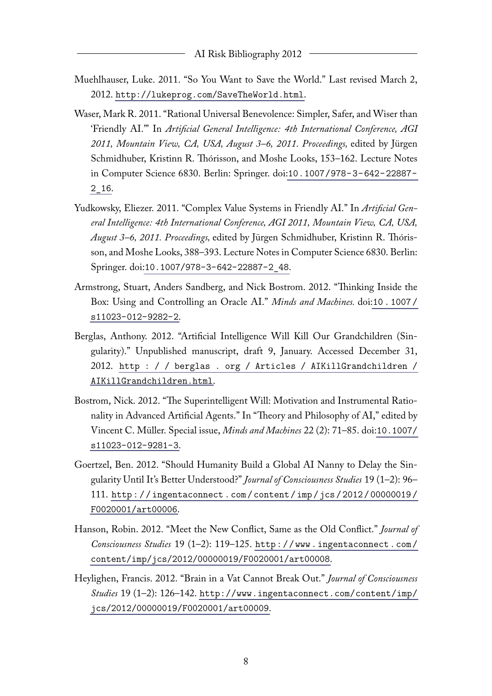- Muehlhauser, Luke. 2011. "So You Want to Save the World." Last revised March 2, 2012. <http://lukeprog.com/SaveTheWorld.html>.
- Waser, Mark R. 2011. "Rational Universal Benevolence: Simpler, Safer, and Wiser than 'Friendly AI."' In *Artificial General Intelligence: 4th International Conference, AGI 2011, Mountain View, CA, USA, August 3–6, 2011. Proceedings,* edited by Jürgen Schmidhuber, Kristinn R. Thórisson, and Moshe Looks, 153–162. Lecture Notes in Computer Science 6830. Berlin: Springer. doi:[10.1007/978-3-642-22887-](http://dx.doi.org/10.1007/978-3-642-22887-2_16) [2\\_16](http://dx.doi.org/10.1007/978-3-642-22887-2_16).
- Yudkowsky, Eliezer. 2011. "Complex Value Systems in Friendly AI." In *Artificial General Intelligence: 4th International Conference, AGI 2011, Mountain View, CA, USA, August 3–6, 2011. Proceedings,* edited by Jürgen Schmidhuber, Kristinn R. Thórisson, and Moshe Looks, 388–393. Lecture Notes in Computer Science 6830. Berlin: Springer. doi:[10.1007/978-3-642-22887-2\\_48](http://dx.doi.org/10.1007/978-3-642-22887-2_48).
- Armstrong, Stuart, Anders Sandberg, and Nick Bostrom. 2012. "Thinking Inside the Box: Using and Controlling an Oracle AI." *Minds and Machines.* doi:[10 . 1007 /](http://dx.doi.org/10.1007/s11023-012-9282-2) [s11023-012-9282-2](http://dx.doi.org/10.1007/s11023-012-9282-2).
- Berglas, Anthony. 2012. "Artificial Intelligence Will Kill Our Grandchildren (Singularity)." Unpublished manuscript, draft 9, January. Accessed December 31, 2012. [http : / / berglas . org / Articles / AIKillGrandchildren /](http://berglas.org/Articles/AIKillGrandchildren/AIKillGrandchildren.html) [AIKillGrandchildren.html](http://berglas.org/Articles/AIKillGrandchildren/AIKillGrandchildren.html).
- Bostrom, Nick. 2012. "The Superintelligent Will: Motivation and Instrumental Rationality in Advanced Artificial Agents." In "Theory and Philosophy of AI," edited by Vincent C. Müller. Special issue, *Minds and Machines* 22 (2): 71–85. doi:[10.1007/](http://dx.doi.org/10.1007/s11023-012-9281-3) [s11023-012-9281-3](http://dx.doi.org/10.1007/s11023-012-9281-3).
- Goertzel, Ben. 2012. "Should Humanity Build a Global AI Nanny to Delay the Singularity Until It's Better Understood?" *Journal of Consciousness Studies* 19 (1–2): 96– 111. [http : / / ingentaconnect . com / content / imp / jcs / 2012 / 00000019 /](http://ingentaconnect.com/content/imp/jcs/2012/00000019/F0020001/art00006) [F0020001/art00006](http://ingentaconnect.com/content/imp/jcs/2012/00000019/F0020001/art00006).
- Hanson, Robin. 2012. "Meet the New Conflict, Same as the Old Conflict." *Journal of Consciousness Studies* 19 (1–2): 119–125. [http : / / www . ingentaconnect . com /](http://www.ingentaconnect.com/content/imp/jcs/2012/00000019/F0020001/art00008) [content/imp/jcs/2012/00000019/F0020001/art00008](http://www.ingentaconnect.com/content/imp/jcs/2012/00000019/F0020001/art00008).
- Heylighen, Francis. 2012. "Brain in a Vat Cannot Break Out." *Journal of Consciousness Studies* 19 (1–2): 126–142. [http://www.ingentaconnect.com/content/imp/](http://www.ingentaconnect.com/content/imp/jcs/2012/00000019/F0020001/art00009) [jcs/2012/00000019/F0020001/art00009](http://www.ingentaconnect.com/content/imp/jcs/2012/00000019/F0020001/art00009).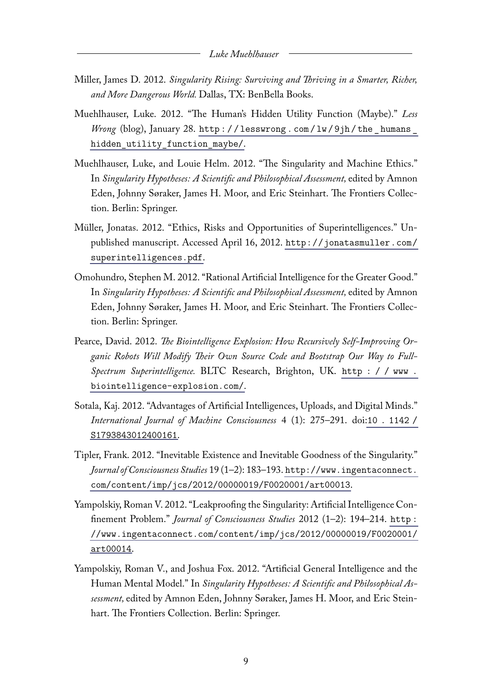- Miller, James D. 2012. *Singularity Rising: Surviving and Thriving in a Smarter, Richer, and More Dangerous World.* Dallas, TX: BenBella Books.
- Muehlhauser, Luke. 2012. "The Human's Hidden Utility Function (Maybe)." *Less Wrong* (blog), January 28. http://lesswrong.com/lw/9jh/the\_humans\_ [hidden\\_utility\\_function\\_maybe/](http://lesswrong.com/lw/9jh/the_humans_hidden_utility_function_maybe/).
- Muehlhauser, Luke, and Louie Helm. 2012. "The Singularity and Machine Ethics." In *Singularity Hypotheses: A Scientific and Philosophical Assessment,* edited by Amnon Eden, Johnny Søraker, James H. Moor, and Eric Steinhart. The Frontiers Collection. Berlin: Springer.
- Müller, Jonatas. 2012. "Ethics, Risks and Opportunities of Superintelligences." Unpublished manuscript. Accessed April 16, 2012. [http://jonatasmuller.com/](http://jonatasmuller.com/superintelligences.pdf) [superintelligences.pdf](http://jonatasmuller.com/superintelligences.pdf).
- Omohundro, Stephen M. 2012. "Rational Artificial Intelligence for the Greater Good." In *Singularity Hypotheses: A Scientific and Philosophical Assessment,* edited by Amnon Eden, Johnny Søraker, James H. Moor, and Eric Steinhart. The Frontiers Collection. Berlin: Springer.
- Pearce, David. 2012. *The Biointelligence Explosion: How Recursively Self-Improving Organic Robots Will Modify Their Own Source Code and Bootstrap Our Way to Full-Spectrum Superintelligence.* BLTC Research, Brighton, UK. [http : / / www .](http://www.biointelligence-explosion.com/) [biointelligence-explosion.com/](http://www.biointelligence-explosion.com/).
- Sotala, Kaj. 2012. "Advantages of Artificial Intelligences, Uploads, and Digital Minds." *International Journal of Machine Consciousness* 4 (1): 275–291. doi:[10 . 1142 /](http://dx.doi.org/10.1142/S1793843012400161) [S1793843012400161](http://dx.doi.org/10.1142/S1793843012400161).
- Tipler, Frank. 2012. "Inevitable Existence and Inevitable Goodness of the Singularity." *Journal of Consciousness Studies* 19 (1–2): 183–193. [http://www.ingentaconnect.](http://www.ingentaconnect.com/content/imp/jcs/2012/00000019/F0020001/art00013) [com/content/imp/jcs/2012/00000019/F0020001/art00013](http://www.ingentaconnect.com/content/imp/jcs/2012/00000019/F0020001/art00013).
- Yampolskiy, Roman V. 2012. "Leakproofing the Singularity: Artificial Intelligence Confinement Problem." *Journal of Consciousness Studies* 2012 (1–2): 194–214. [http :](http://www.ingentaconnect.com/content/imp/jcs/2012/00000019/F0020001/art00014) [//www.ingentaconnect.com/content/imp/jcs/2012/00000019/F0020001/](http://www.ingentaconnect.com/content/imp/jcs/2012/00000019/F0020001/art00014) [art00014](http://www.ingentaconnect.com/content/imp/jcs/2012/00000019/F0020001/art00014).
- Yampolskiy, Roman V., and Joshua Fox. 2012. "Artificial General Intelligence and the Human Mental Model." In *Singularity Hypotheses: A Scientific and Philosophical Assessment,* edited by Amnon Eden, Johnny Søraker, James H. Moor, and Eric Steinhart. The Frontiers Collection. Berlin: Springer.